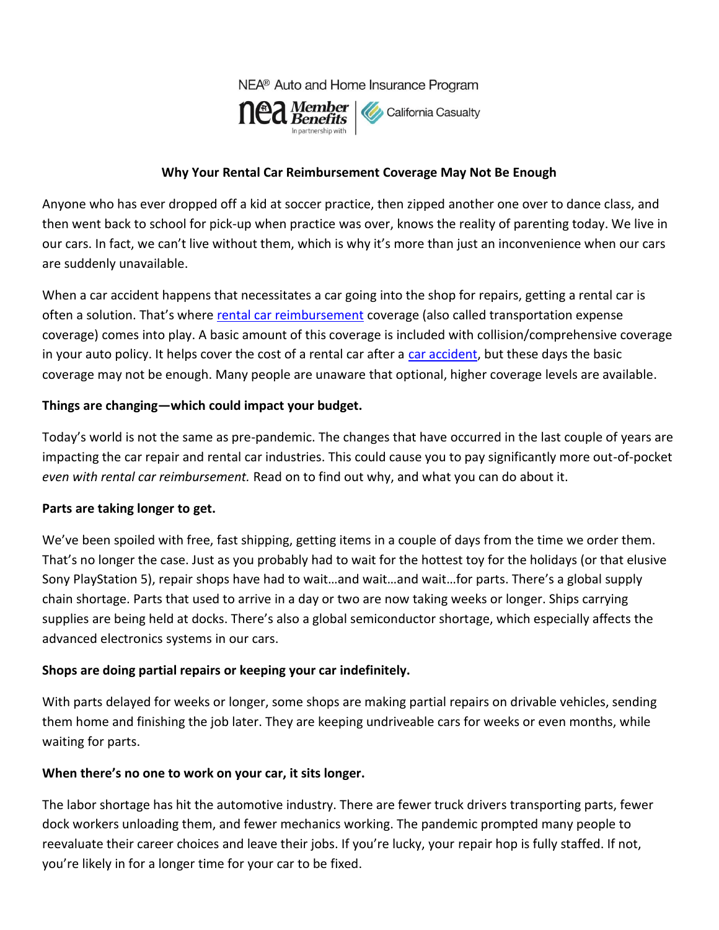NEA® Auto and Home Insurance Program



### **Why Your Rental Car Reimbursement Coverage May Not Be Enough**

Anyone who has ever dropped off a kid at soccer practice, then zipped another one over to dance class, and then went back to school for pick-up when practice was over, knows the reality of parenting today. We live in our cars. In fact, we can't live without them, which is why it's more than just an inconvenience when our cars are suddenly unavailable.

When a car accident happens that necessitates a car going into the shop for repairs, getting a rental car is often a solution. That's where [rental car reimbursement](https://mycalcas.com/2019/05/rentalreimbursement101/) coverage (also called transportation expense coverage) comes into play. A basic amount of this coverage is included with collision/comprehensive coverage in your auto policy. It helps cover the cost of a rental car after a [car accident,](https://mycalcas.com/2019/12/what-you-need-to-know-after-a-parking-lot-accident/) but these days the basic coverage may not be enough. Many people are unaware that optional, higher coverage levels are available.

### **Things are changing—which could impact your budget.**

Today's world is not the same as pre-pandemic. The changes that have occurred in the last couple of years are impacting the car repair and rental car industries. This could cause you to pay significantly more out-of-pocket *even with rental car reimbursement.* Read on to find out why, and what you can do about it.

#### **Parts are taking longer to get.**

We've been spoiled with free, fast shipping, getting items in a couple of days from the time we order them. That's no longer the case. Just as you probably had to wait for the hottest toy for the holidays (or that elusive Sony PlayStation 5), repair shops have had to wait…and wait…and wait…for parts. There's a global supply chain shortage. Parts that used to arrive in a day or two are now taking weeks or longer. Ships carrying supplies are being held at docks. There's also a global semiconductor shortage, which especially affects the advanced electronics systems in our cars.

### **Shops are doing partial repairs or keeping your car indefinitely.**

With parts delayed for weeks or longer, some shops are making partial repairs on drivable vehicles, sending them home and finishing the job later. They are keeping undriveable cars for weeks or even months, while waiting for parts.

#### **When there's no one to work on your car, it sits longer.**

The labor shortage has hit the automotive industry. There are fewer truck drivers transporting parts, fewer dock workers unloading them, and fewer mechanics working. The pandemic prompted many people to reevaluate their career choices and leave their jobs. If you're lucky, your repair hop is fully staffed. If not, you're likely in for a longer time for your car to be fixed.